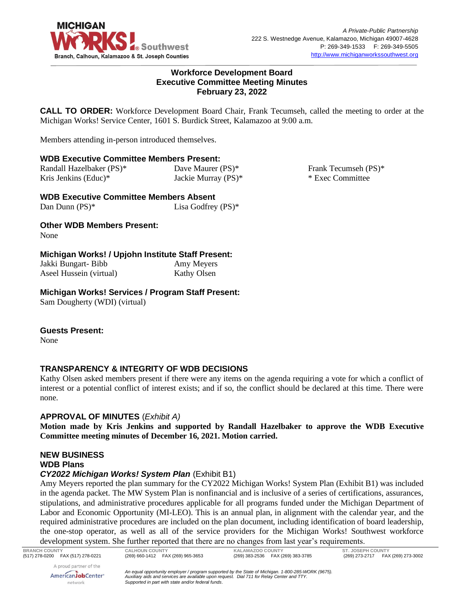

### **Workforce Development Board Executive Committee Meeting Minutes February 23, 2022**

**CALL TO ORDER:** Workforce Development Board Chair, Frank Tecumseh, called the meeting to order at the Michigan Works! Service Center, 1601 S. Burdick Street, Kalamazoo at 9:00 a.m.

Members attending in-person introduced themselves.

## **WDB Executive Committee Members Present:**

| Randall Hazelbaker (PS)* | Dave Maurer (PS)*   |
|--------------------------|---------------------|
| Kris Jenkins (Educ)*     | Jackie Murray (PS)* |

**WDB Executive Committee Members Absent** Dan Dunn (PS)<sup>\*</sup> Lisa Godfrey (PS)<sup>\*</sup>

**Other WDB Members Present:**

None

## **Michigan Works! / Upjohn Institute Staff Present:**

| Jakki Bungart- Bibb     | Amy Meyers         |
|-------------------------|--------------------|
| Aseel Hussein (virtual) | <b>Kathy Olsen</b> |

## **Michigan Works! Services / Program Staff Present:**

Sam Dougherty (WDI) (virtual)

#### **Guests Present:**

None

# **TRANSPARENCY & INTEGRITY OF WDB DECISIONS**

Kathy Olsen asked members present if there were any items on the agenda requiring a vote for which a conflict of interest or a potential conflict of interest exists; and if so, the conflict should be declared at this time. There were none.

# **APPROVAL OF MINUTES** (*Exhibit A)*

**Motion made by Kris Jenkins and supported by Randall Hazelbaker to approve the WDB Executive Committee meeting minutes of December 16, 2021. Motion carried.**

# **NEW BUSINESS WDB Plans**

# *CY2022 Michigan Works! System Plan* (Exhibit B1)

Amy Meyers reported the plan summary for the CY2022 Michigan Works! System Plan (Exhibit B1) was included in the agenda packet. The MW System Plan is nonfinancial and is inclusive of a series of certifications, assurances, stipulations, and administrative procedures applicable for all programs funded under the Michigan Department of Labor and Economic Opportunity (MI-LEO). This is an annual plan, in alignment with the calendar year, and the required administrative procedures are included on the plan document, including identification of board leadership, the one-stop operator, as well as all of the service providers for the Michigan Works! Southwest workforce development system. She further reported that there are no changes from last year's requirements.

Frank Tecumseh (PS)\* \* Exec Committee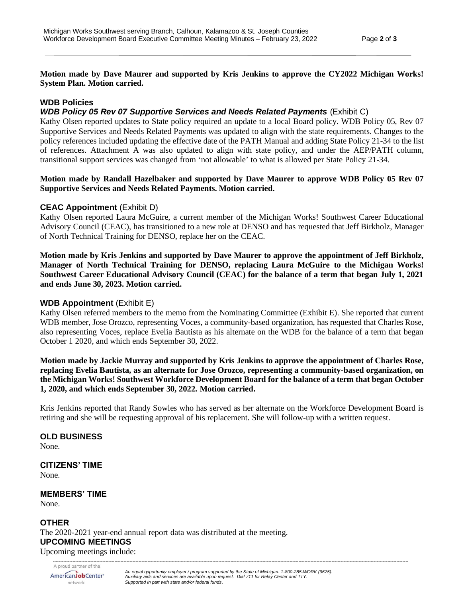**Motion made by Dave Maurer and supported by Kris Jenkins to approve the CY2022 Michigan Works! System Plan. Motion carried.**

### **WDB Policies**

### *WDB Policy 05 Rev 07 Supportive Services and Needs Related Payments* (Exhibit C)

Kathy Olsen reported updates to State policy required an update to a local Board policy. WDB Policy 05, Rev 07 Supportive Services and Needs Related Payments was updated to align with the state requirements. Changes to the policy references included updating the effective date of the PATH Manual and adding State Policy 21-34 to the list of references. Attachment A was also updated to align with state policy, and under the AEP/PATH column, transitional support services was changed from 'not allowable' to what is allowed per State Policy 21-34.

#### **Motion made by Randall Hazelbaker and supported by Dave Maurer to approve WDB Policy 05 Rev 07 Supportive Services and Needs Related Payments. Motion carried.**

## **CEAC Appointment** (Exhibit D)

Kathy Olsen reported Laura McGuire, a current member of the Michigan Works! Southwest Career Educational Advisory Council (CEAC), has transitioned to a new role at DENSO and has requested that Jeff Birkholz, Manager of North Technical Training for DENSO, replace her on the CEAC.

**Motion made by Kris Jenkins and supported by Dave Maurer to approve the appointment of Jeff Birkholz, Manager of North Technical Training for DENSO, replacing Laura McGuire to the Michigan Works! Southwest Career Educational Advisory Council (CEAC) for the balance of a term that began July 1, 2021 and ends June 30, 2023. Motion carried.**

#### **WDB Appointment** (Exhibit E)

Kathy Olsen referred members to the memo from the Nominating Committee (Exhibit E). She reported that current WDB member, Jose Orozco, representing Voces, a community-based organization, has requested that Charles Rose, also representing Voces, replace Evelia Bautista as his alternate on the WDB for the balance of a term that began October 1 2020, and which ends September 30, 2022.

**Motion made by Jackie Murray and supported by Kris Jenkins to approve the appointment of Charles Rose, replacing Evelia Bautista, as an alternate for Jose Orozco, representing a community-based organization, on the Michigan Works! Southwest Workforce Development Board for the balance of a term that began October 1, 2020, and which ends September 30, 2022. Motion carried.**

Kris Jenkins reported that Randy Sowles who has served as her alternate on the Workforce Development Board is retiring and she will be requesting approval of his replacement. She will follow-up with a written request.

*--------------------------------------------------------------------------------------------------------------------------------------------------------------------------------------------------------------------------------------------*

**OLD BUSINESS** None.

**CITIZENS' TIME** None.

**MEMBERS' TIME** None.

**OTHER**

The 2020-2021 year-end annual report data was distributed at the meeting. **UPCOMING MEETINGS**

Upcoming meetings include:

*An equal opportunity employer / program supported by the State of Michigan. 1-800-285-WORK (9675).* AmericanJobCenter\* *Auxiliary aids and services are available upon request. Dial 711 for Relay Center and TTY.* network *Supported in part with state and/or federal funds.*